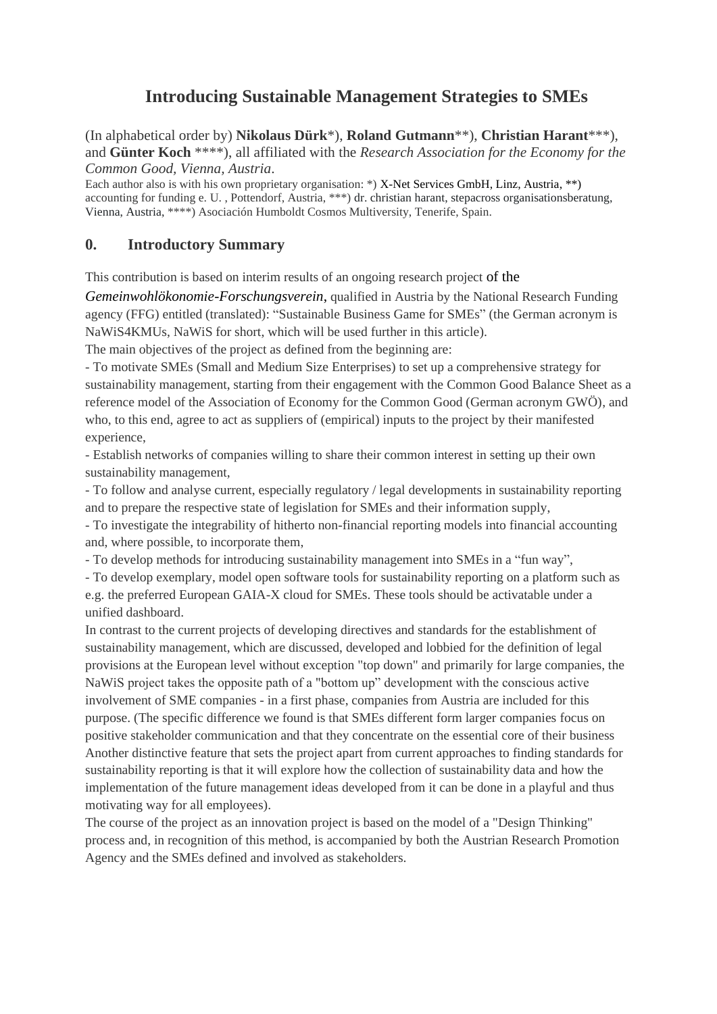# **Introducing Sustainable Management Strategies to SMEs**

(In alphabetical order by) **Nikolaus Dürk**\*), **Roland Gutmann**\*\*), **Christian Harant**\*\*\*), and **Günter Koch** \*\*\*\*), all affiliated with the *Research Association for the Economy for the Common Good, Vienna, Austria*.

Each author also is with his own proprietary organisation: \*) X-Net Services GmbH, Linz, Austria, \*\*) accounting for funding e. U., Pottendorf, Austria, \*\*\*) dr. christian harant, stepacross organisationsberatung, Vienna, Austria, \*\*\*\*) Asociación Humboldt Cosmos Multiversity, Tenerife, Spain.

### **0. Introductory Summary**

This contribution is based on interim results of an ongoing research project of the

*Gemeinwohlökonomie-Forschungsverein*, qualified in Austria by the National Research Funding agency (FFG) entitled (translated): "Sustainable Business Game for SMEs" (the German acronym is NaWiS4KMUs, NaWiS for short, which will be used further in this article).

The main objectives of the project as defined from the beginning are:

- To motivate SMEs (Small and Medium Size Enterprises) to set up a comprehensive strategy for sustainability management, starting from their engagement with the Common Good Balance Sheet as a reference model of the Association of Economy for the Common Good (German acronym GWÖ), and who, to this end, agree to act as suppliers of (empirical) inputs to the project by their manifested experience,

- Establish networks of companies willing to share their common interest in setting up their own sustainability management,

- To follow and analyse current, especially regulatory / legal developments in sustainability reporting and to prepare the respective state of legislation for SMEs and their information supply,

- To investigate the integrability of hitherto non-financial reporting models into financial accounting and, where possible, to incorporate them,

- To develop methods for introducing sustainability management into SMEs in a "fun way",

- To develop exemplary, model open software tools for sustainability reporting on a platform such as e.g. the preferred European GAIA-X cloud for SMEs. These tools should be activatable under a unified dashboard.

In contrast to the current projects of developing directives and standards for the establishment of sustainability management, which are discussed, developed and lobbied for the definition of legal provisions at the European level without exception "top down" and primarily for large companies, the NaWiS project takes the opposite path of a "bottom up" development with the conscious active involvement of SME companies - in a first phase, companies from Austria are included for this purpose. (The specific difference we found is that SMEs different form larger companies focus on positive stakeholder communication and that they concentrate on the essential core of their business Another distinctive feature that sets the project apart from current approaches to finding standards for sustainability reporting is that it will explore how the collection of sustainability data and how the implementation of the future management ideas developed from it can be done in a playful and thus motivating way for all employees).

The course of the project as an innovation project is based on the model of a "Design Thinking" process and, in recognition of this method, is accompanied by both the Austrian Research Promotion Agency and the SMEs defined and involved as stakeholders.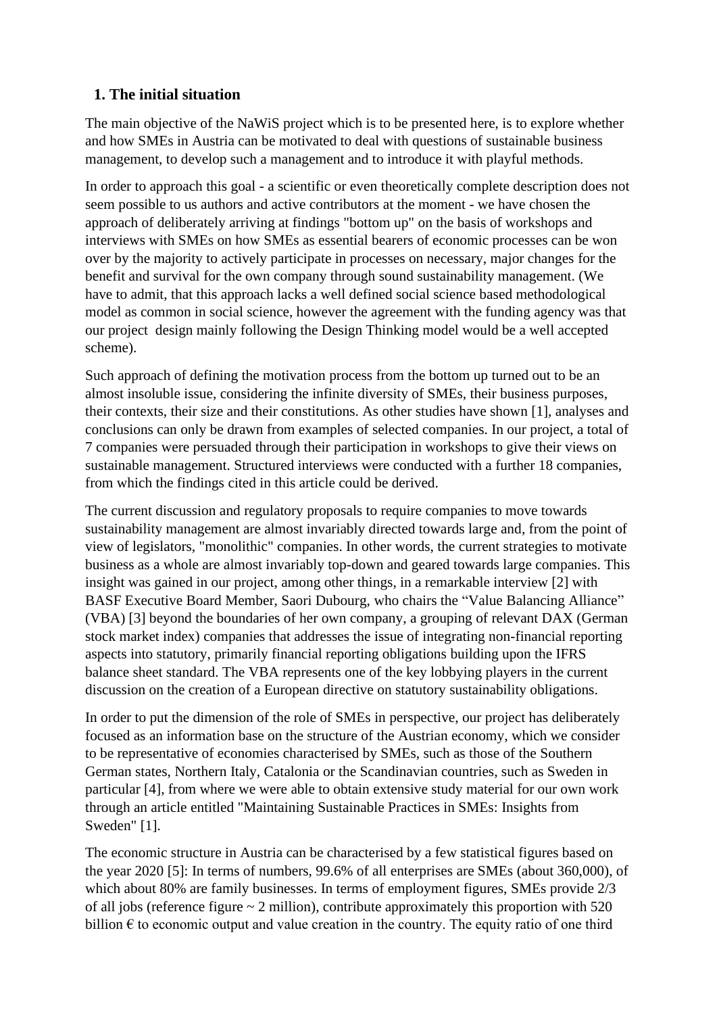# **1. The initial situation**

The main objective of the NaWiS project which is to be presented here, is to explore whether and how SMEs in Austria can be motivated to deal with questions of sustainable business management, to develop such a management and to introduce it with playful methods.

In order to approach this goal - a scientific or even theoretically complete description does not seem possible to us authors and active contributors at the moment - we have chosen the approach of deliberately arriving at findings "bottom up" on the basis of workshops and interviews with SMEs on how SMEs as essential bearers of economic processes can be won over by the majority to actively participate in processes on necessary, major changes for the benefit and survival for the own company through sound sustainability management. (We have to admit, that this approach lacks a well defined social science based methodological model as common in social science, however the agreement with the funding agency was that our project design mainly following the Design Thinking model would be a well accepted scheme).

Such approach of defining the motivation process from the bottom up turned out to be an almost insoluble issue, considering the infinite diversity of SMEs, their business purposes, their contexts, their size and their constitutions. As other studies have shown [1], analyses and conclusions can only be drawn from examples of selected companies. In our project, a total of 7 companies were persuaded through their participation in workshops to give their views on sustainable management. Structured interviews were conducted with a further 18 companies, from which the findings cited in this article could be derived.

The current discussion and regulatory proposals to require companies to move towards sustainability management are almost invariably directed towards large and, from the point of view of legislators, "monolithic" companies. In other words, the current strategies to motivate business as a whole are almost invariably top-down and geared towards large companies. This insight was gained in our project, among other things, in a remarkable interview [2] with BASF Executive Board Member, Saori Dubourg, who chairs the "Value Balancing Alliance" (VBA) [3] beyond the boundaries of her own company, a grouping of relevant DAX (German stock market index) companies that addresses the issue of integrating non-financial reporting aspects into statutory, primarily financial reporting obligations building upon the IFRS balance sheet standard. The VBA represents one of the key lobbying players in the current discussion on the creation of a European directive on statutory sustainability obligations.

In order to put the dimension of the role of SMEs in perspective, our project has deliberately focused as an information base on the structure of the Austrian economy, which we consider to be representative of economies characterised by SMEs, such as those of the Southern German states, Northern Italy, Catalonia or the Scandinavian countries, such as Sweden in particular [4], from where we were able to obtain extensive study material for our own work through an article entitled "Maintaining Sustainable Practices in SMEs: Insights from Sweden" [1].

The economic structure in Austria can be characterised by a few statistical figures based on the year 2020 [5]: In terms of numbers, 99.6% of all enterprises are SMEs (about 360,000), of which about 80% are family businesses. In terms of employment figures, SMEs provide 2/3 of all jobs (reference figure  $\sim 2$  million), contribute approximately this proportion with 520 billion  $\epsilon$  to economic output and value creation in the country. The equity ratio of one third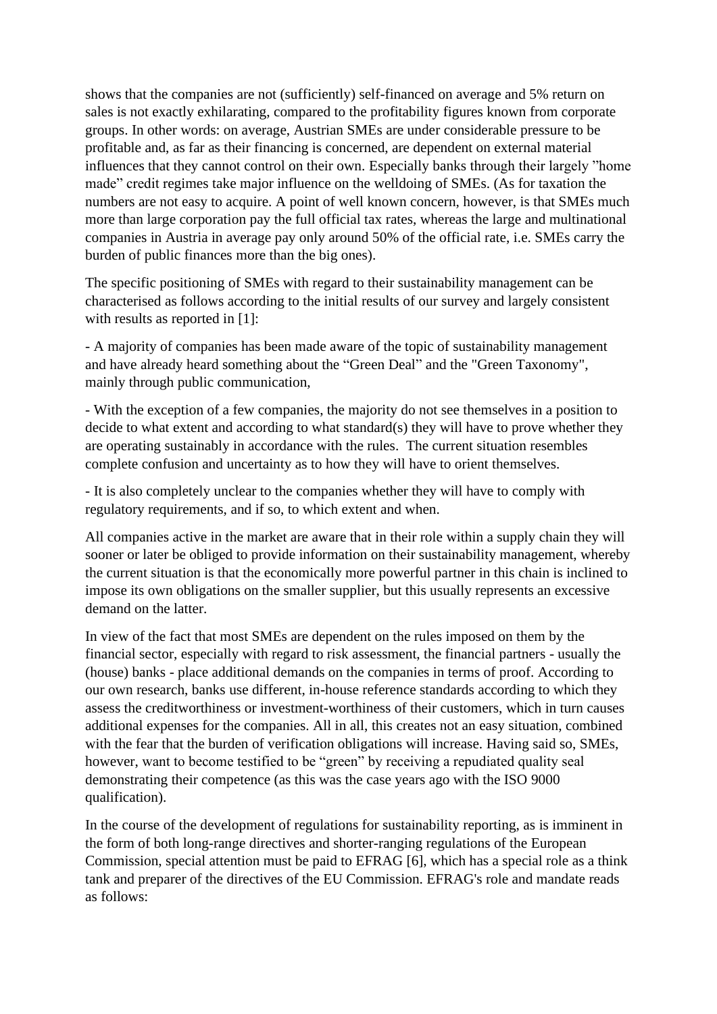shows that the companies are not (sufficiently) self-financed on average and 5% return on sales is not exactly exhilarating, compared to the profitability figures known from corporate groups. In other words: on average, Austrian SMEs are under considerable pressure to be profitable and, as far as their financing is concerned, are dependent on external material influences that they cannot control on their own. Especially banks through their largely "home made" credit regimes take major influence on the welldoing of SMEs. (As for taxation the numbers are not easy to acquire. A point of well known concern, however, is that SMEs much more than large corporation pay the full official tax rates, whereas the large and multinational companies in Austria in average pay only around 50% of the official rate, i.e. SMEs carry the burden of public finances more than the big ones).

The specific positioning of SMEs with regard to their sustainability management can be characterised as follows according to the initial results of our survey and largely consistent with results as reported in [1]:

- A majority of companies has been made aware of the topic of sustainability management and have already heard something about the "Green Deal" and the "Green Taxonomy", mainly through public communication,

- With the exception of a few companies, the majority do not see themselves in a position to decide to what extent and according to what standard(s) they will have to prove whether they are operating sustainably in accordance with the rules. The current situation resembles complete confusion and uncertainty as to how they will have to orient themselves.

- It is also completely unclear to the companies whether they will have to comply with regulatory requirements, and if so, to which extent and when.

All companies active in the market are aware that in their role within a supply chain they will sooner or later be obliged to provide information on their sustainability management, whereby the current situation is that the economically more powerful partner in this chain is inclined to impose its own obligations on the smaller supplier, but this usually represents an excessive demand on the latter.

In view of the fact that most SMEs are dependent on the rules imposed on them by the financial sector, especially with regard to risk assessment, the financial partners - usually the (house) banks - place additional demands on the companies in terms of proof. According to our own research, banks use different, in-house reference standards according to which they assess the creditworthiness or investment-worthiness of their customers, which in turn causes additional expenses for the companies. All in all, this creates not an easy situation, combined with the fear that the burden of verification obligations will increase. Having said so, SMEs, however, want to become testified to be "green" by receiving a repudiated quality seal demonstrating their competence (as this was the case years ago with the ISO 9000 qualification).

In the course of the development of regulations for sustainability reporting, as is imminent in the form of both long-range directives and shorter-ranging regulations of the European Commission, special attention must be paid to EFRAG [6], which has a special role as a think tank and preparer of the directives of the EU Commission. EFRAG's role and mandate reads as follows: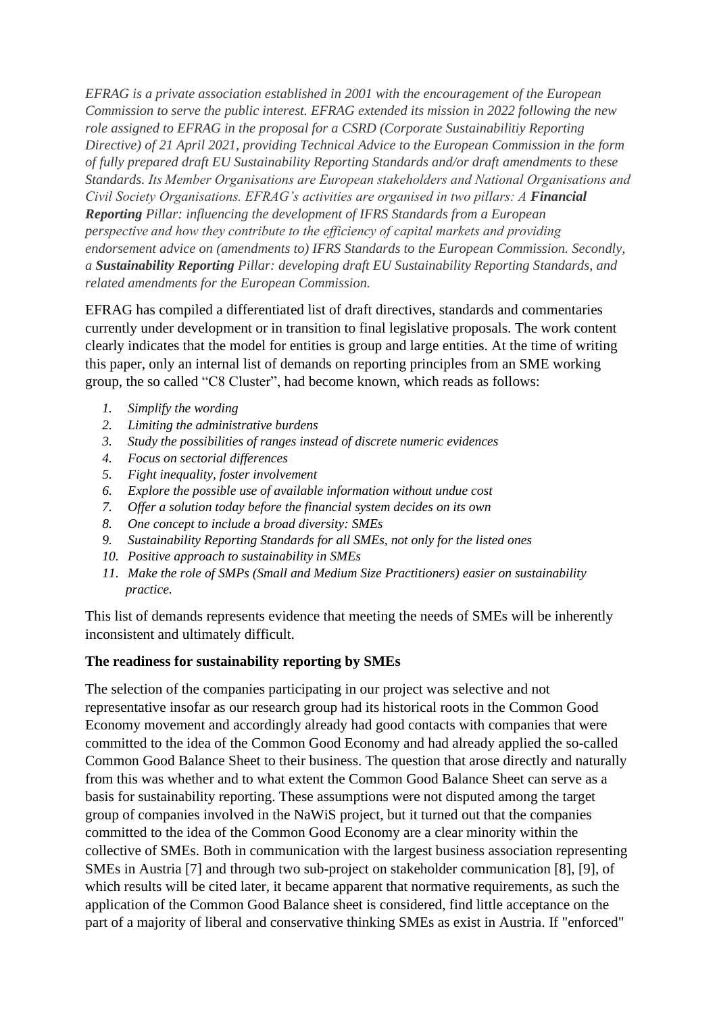*EFRAG is a private association established in 2001 with the encouragement of the European Commission to serve the public interest. EFRAG extended its mission in 2022 following the new role assigned to EFRAG in the proposal for a CSRD (Corporate Sustainabilitiy Reporting Directive) of 21 April 2021, providing Technical Advice to the European Commission in the form of fully prepared draft EU Sustainability Reporting Standards and/or draft amendments to these Standards. Its Member Organisations are European stakeholders and National Organisations and Civil Society Organisations. EFRAG's activities are organised in two pillars: A Financial Reporting Pillar: influencing the development of IFRS Standards from a European perspective and how they contribute to the efficiency of capital markets and providing endorsement advice on (amendments to) IFRS Standards to the European Commission. Secondly, a Sustainability Reporting Pillar: developing draft EU Sustainability Reporting Standards, and related amendments for the European Commission.*

EFRAG has compiled a differentiated list of draft directives, standards and commentaries currently under development or in transition to final legislative proposals. The work content clearly indicates that the model for entities is group and large entities. At the time of writing this paper, only an internal list of demands on reporting principles from an SME working group, the so called "C8 Cluster", had become known, which reads as follows:

- *1. Simplify the wording*
- *2. Limiting the administrative burdens*
- *3. Study the possibilities of ranges instead of discrete numeric evidences*
- *4. Focus on sectorial differences*
- *5. Fight inequality, foster involvement*
- *6. Explore the possible use of available information without undue cost*
- *7. Offer a solution today before the financial system decides on its own*
- *8. One concept to include a broad diversity: SMEs*
- *9. Sustainability Reporting Standards for all SMEs, not only for the listed ones*
- *10. Positive approach to sustainability in SMEs*
- *11. Make the role of SMPs (Small and Medium Size Practitioners) easier on sustainability practice.*

This list of demands represents evidence that meeting the needs of SMEs will be inherently inconsistent and ultimately difficult.

### **The readiness for sustainability reporting by SMEs**

The selection of the companies participating in our project was selective and not representative insofar as our research group had its historical roots in the Common Good Economy movement and accordingly already had good contacts with companies that were committed to the idea of the Common Good Economy and had already applied the so-called Common Good Balance Sheet to their business. The question that arose directly and naturally from this was whether and to what extent the Common Good Balance Sheet can serve as a basis for sustainability reporting. These assumptions were not disputed among the target group of companies involved in the NaWiS project, but it turned out that the companies committed to the idea of the Common Good Economy are a clear minority within the collective of SMEs. Both in communication with the largest business association representing SMEs in Austria [7] and through two sub-project on stakeholder communication [8], [9], of which results will be cited later, it became apparent that normative requirements, as such the application of the Common Good Balance sheet is considered, find little acceptance on the part of a majority of liberal and conservative thinking SMEs as exist in Austria. If "enforced"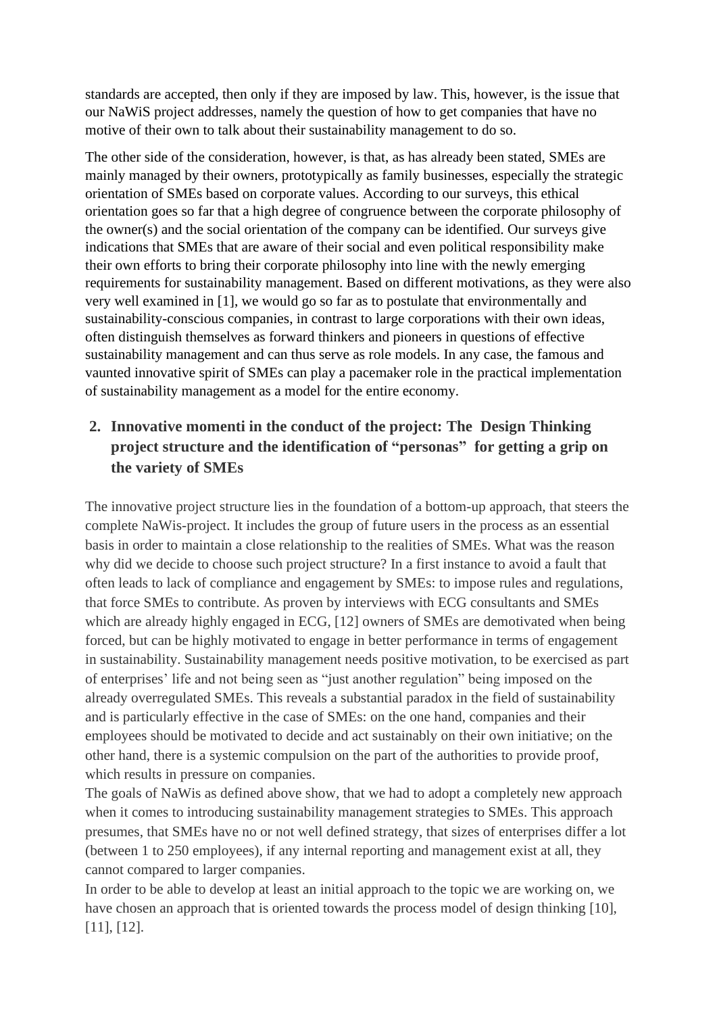standards are accepted, then only if they are imposed by law. This, however, is the issue that our NaWiS project addresses, namely the question of how to get companies that have no motive of their own to talk about their sustainability management to do so.

The other side of the consideration, however, is that, as has already been stated, SMEs are mainly managed by their owners, prototypically as family businesses, especially the strategic orientation of SMEs based on corporate values. According to our surveys, this ethical orientation goes so far that a high degree of congruence between the corporate philosophy of the owner(s) and the social orientation of the company can be identified. Our surveys give indications that SMEs that are aware of their social and even political responsibility make their own efforts to bring their corporate philosophy into line with the newly emerging requirements for sustainability management. Based on different motivations, as they were also very well examined in [1], we would go so far as to postulate that environmentally and sustainability-conscious companies, in contrast to large corporations with their own ideas, often distinguish themselves as forward thinkers and pioneers in questions of effective sustainability management and can thus serve as role models. In any case, the famous and vaunted innovative spirit of SMEs can play a pacemaker role in the practical implementation of sustainability management as a model for the entire economy.

# **2. Innovative momenti in the conduct of the project: The Design Thinking project structure and the identification of "personas" for getting a grip on the variety of SMEs**

The innovative project structure lies in the foundation of a bottom-up approach, that steers the complete NaWis-project. It includes the group of future users in the process as an essential basis in order to maintain a close relationship to the realities of SMEs. What was the reason why did we decide to choose such project structure? In a first instance to avoid a fault that often leads to lack of compliance and engagement by SMEs: to impose rules and regulations, that force SMEs to contribute. As proven by interviews with ECG consultants and SMEs which are already highly engaged in ECG, [12] owners of SMEs are demotivated when being forced, but can be highly motivated to engage in better performance in terms of engagement in sustainability. Sustainability management needs positive motivation, to be exercised as part of enterprises' life and not being seen as "just another regulation" being imposed on the already overregulated SMEs. This reveals a substantial paradox in the field of sustainability and is particularly effective in the case of SMEs: on the one hand, companies and their employees should be motivated to decide and act sustainably on their own initiative; on the other hand, there is a systemic compulsion on the part of the authorities to provide proof, which results in pressure on companies.

The goals of NaWis as defined above show, that we had to adopt a completely new approach when it comes to introducing sustainability management strategies to SMEs. This approach presumes, that SMEs have no or not well defined strategy, that sizes of enterprises differ a lot (between 1 to 250 employees), if any internal reporting and management exist at all, they cannot compared to larger companies.

In order to be able to develop at least an initial approach to the topic we are working on, we have chosen an approach that is oriented towards the process model of design thinking [10], [11], [12].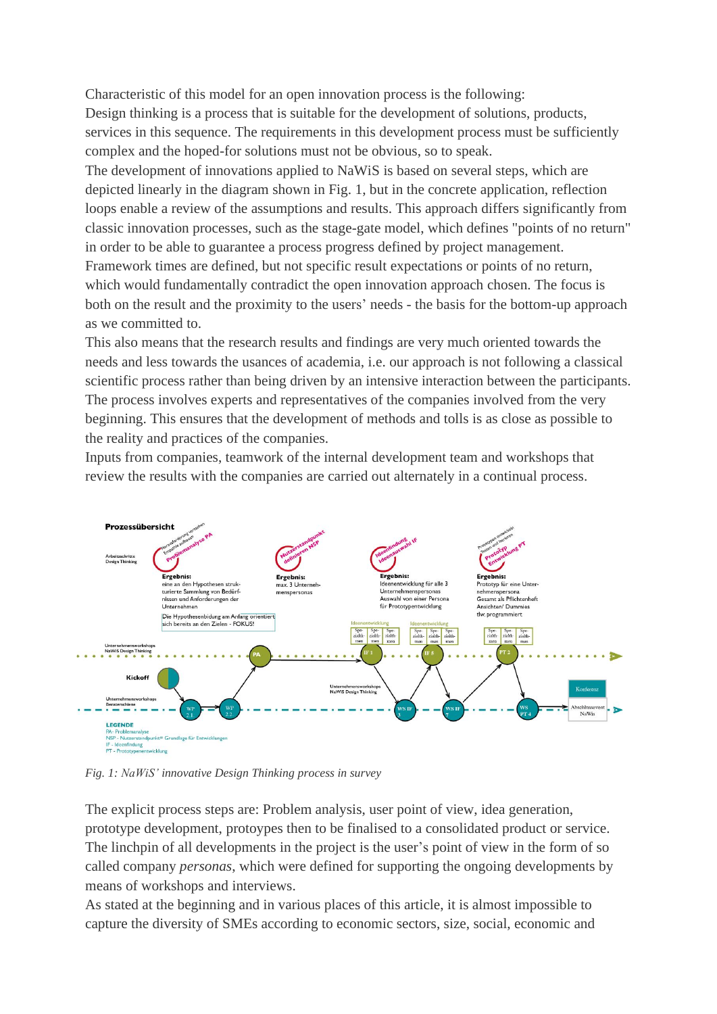Characteristic of this model for an open innovation process is the following: Design thinking is a process that is suitable for the development of solutions, products, services in this sequence. The requirements in this development process must be sufficiently complex and the hoped-for solutions must not be obvious, so to speak. The development of innovations applied to NaWiS is based on several steps, which are depicted linearly in the diagram shown in Fig. 1, but in the concrete application, reflection loops enable a review of the assumptions and results. This approach differs significantly from classic innovation processes, such as the stage-gate model, which defines "points of no return" in order to be able to guarantee a process progress defined by project management. Framework times are defined, but not specific result expectations or points of no return, which would fundamentally contradict the open innovation approach chosen. The focus is both on the result and the proximity to the users' needs - the basis for the bottom-up approach as we committed to.

This also means that the research results and findings are very much oriented towards the needs and less towards the usances of academia, i.e. our approach is not following a classical scientific process rather than being driven by an intensive interaction between the participants. The process involves experts and representatives of the companies involved from the very beginning. This ensures that the development of methods and tolls is as close as possible to the reality and practices of the companies.

Inputs from companies, teamwork of the internal development team and workshops that review the results with the companies are carried out alternately in a continual process.



*Fig. 1: NaWiS' innovative Design Thinking process in survey*

The explicit process steps are: Problem analysis, user point of view, idea generation, prototype development, protoypes then to be finalised to a consolidated product or service. The linchpin of all developments in the project is the user's point of view in the form of so called company *personas*, which were defined for supporting the ongoing developments by means of workshops and interviews.

As stated at the beginning and in various places of this article, it is almost impossible to capture the diversity of SMEs according to economic sectors, size, social, economic and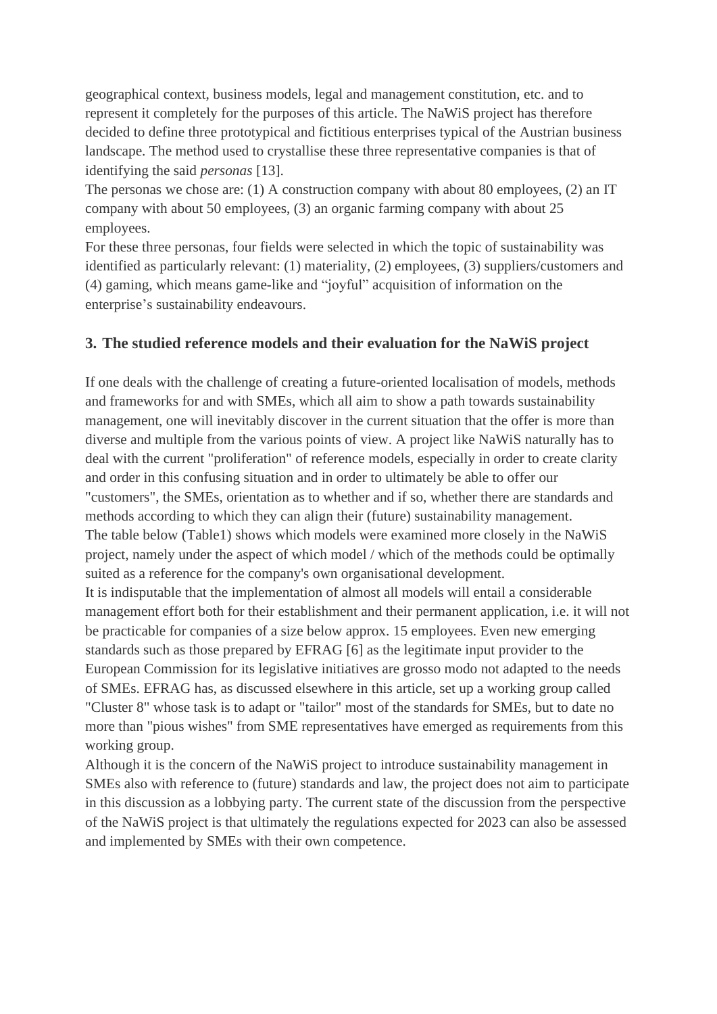geographical context, business models, legal and management constitution, etc. and to represent it completely for the purposes of this article. The NaWiS project has therefore decided to define three prototypical and fictitious enterprises typical of the Austrian business landscape. The method used to crystallise these three representative companies is that of identifying the said *personas* [13].

The personas we chose are: (1) A construction company with about 80 employees, (2) an IT company with about 50 employees, (3) an organic farming company with about 25 employees.

For these three personas, four fields were selected in which the topic of sustainability was identified as particularly relevant: (1) materiality, (2) employees, (3) suppliers/customers and (4) gaming, which means game-like and "joyful" acquisition of information on the enterprise's sustainability endeavours.

# **3. The studied reference models and their evaluation for the NaWiS project**

If one deals with the challenge of creating a future-oriented localisation of models, methods and frameworks for and with SMEs, which all aim to show a path towards sustainability management, one will inevitably discover in the current situation that the offer is more than diverse and multiple from the various points of view. A project like NaWiS naturally has to deal with the current "proliferation" of reference models, especially in order to create clarity and order in this confusing situation and in order to ultimately be able to offer our "customers", the SMEs, orientation as to whether and if so, whether there are standards and methods according to which they can align their (future) sustainability management. The table below (Table1) shows which models were examined more closely in the NaWiS project, namely under the aspect of which model / which of the methods could be optimally suited as a reference for the company's own organisational development. It is indisputable that the implementation of almost all models will entail a considerable management effort both for their establishment and their permanent application, i.e. it will not be practicable for companies of a size below approx. 15 employees. Even new emerging standards such as those prepared by EFRAG [6] as the legitimate input provider to the European Commission for its legislative initiatives are grosso modo not adapted to the needs of SMEs. EFRAG has, as discussed elsewhere in this article, set up a working group called

"Cluster 8" whose task is to adapt or "tailor" most of the standards for SMEs, but to date no more than "pious wishes" from SME representatives have emerged as requirements from this working group.

Although it is the concern of the NaWiS project to introduce sustainability management in SMEs also with reference to (future) standards and law, the project does not aim to participate in this discussion as a lobbying party. The current state of the discussion from the perspective of the NaWiS project is that ultimately the regulations expected for 2023 can also be assessed and implemented by SMEs with their own competence.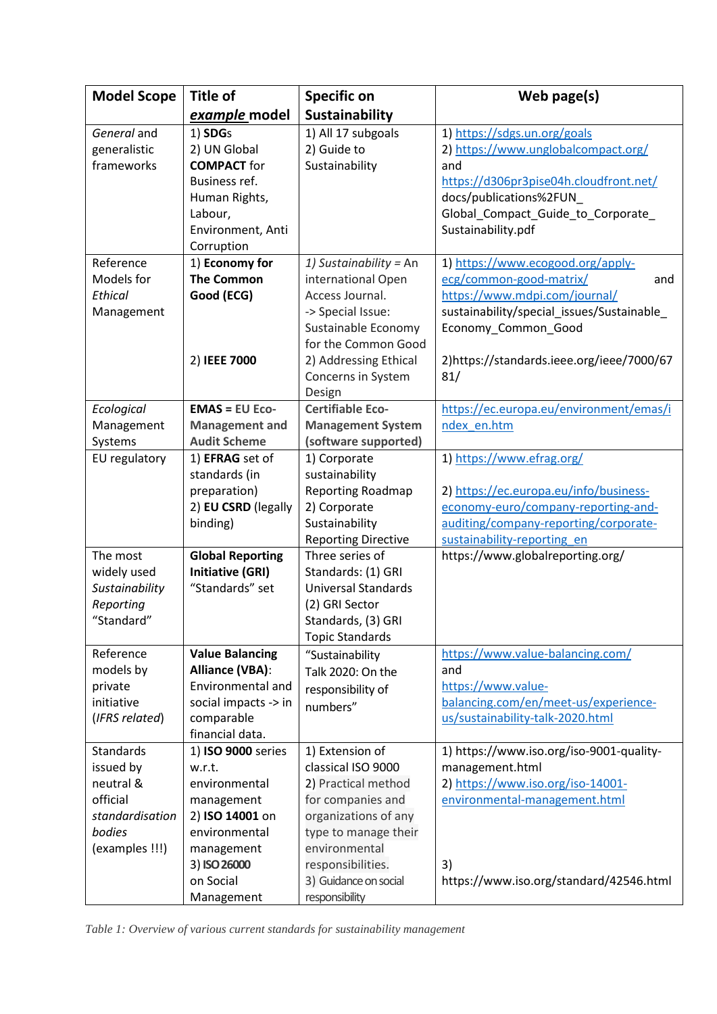| <b>Model Scope</b> | Title of                | <b>Specific on</b>         | Web page(s)                                |
|--------------------|-------------------------|----------------------------|--------------------------------------------|
|                    | example model           | Sustainability             |                                            |
| General and        | 1) SDGs                 | 1) All 17 subgoals         | 1) https://sdgs.un.org/goals               |
| generalistic       | 2) UN Global            | 2) Guide to                | 2) https://www.unglobalcompact.org/        |
| frameworks         | <b>COMPACT</b> for      | Sustainability             | and                                        |
|                    | Business ref.           |                            | https://d306pr3pise04h.cloudfront.net/     |
|                    | Human Rights,           |                            | docs/publications%2FUN                     |
|                    | Labour,                 |                            | Global_Compact_Guide_to_Corporate_         |
|                    | Environment, Anti       |                            | Sustainability.pdf                         |
|                    | Corruption              |                            |                                            |
| Reference          | 1) Economy for          | 1) Sustainability = An     | 1) https://www.ecogood.org/apply-          |
| Models for         | <b>The Common</b>       | international Open         | ecg/common-good-matrix/<br>and             |
| Ethical            | Good (ECG)              | Access Journal.            | https://www.mdpi.com/journal/              |
| Management         |                         | -> Special Issue:          | sustainability/special_issues/Sustainable_ |
|                    |                         | Sustainable Economy        | Economy_Common_Good                        |
|                    |                         | for the Common Good        |                                            |
|                    | 2) IEEE 7000            | 2) Addressing Ethical      | 2)https://standards.ieee.org/ieee/7000/67  |
|                    |                         | Concerns in System         | 81/                                        |
|                    |                         | Design                     |                                            |
| Ecological         | $EMAS = EU Eco-$        | <b>Certifiable Eco-</b>    | https://ec.europa.eu/environment/emas/i    |
| Management         | <b>Management and</b>   | <b>Management System</b>   | ndex en.htm                                |
| Systems            | <b>Audit Scheme</b>     | (software supported)       |                                            |
| EU regulatory      | 1) EFRAG set of         | 1) Corporate               | 1) https://www.efrag.org/                  |
|                    | standards (in           | sustainability             |                                            |
|                    | preparation)            | Reporting Roadmap          | 2) https://ec.europa.eu/info/business-     |
|                    | 2) EU CSRD (legally     | 2) Corporate               | economy-euro/company-reporting-and-        |
|                    | binding)                | Sustainability             | auditing/company-reporting/corporate-      |
|                    |                         | <b>Reporting Directive</b> | sustainability-reporting en                |
| The most           | <b>Global Reporting</b> | Three series of            | https://www.globalreporting.org/           |
| widely used        | <b>Initiative (GRI)</b> | Standards: (1) GRI         |                                            |
| Sustainability     | "Standards" set         | <b>Universal Standards</b> |                                            |
| Reporting          |                         | (2) GRI Sector             |                                            |
| "Standard"         |                         | Standards, (3) GRI         |                                            |
|                    |                         | <b>Topic Standards</b>     |                                            |
| Reference          | <b>Value Balancing</b>  | "Sustainability            | https://www.value-balancing.com/           |
| models by          | <b>Alliance (VBA):</b>  | Talk 2020: On the          | and                                        |
| private            | Environmental and       | responsibility of          | https://www.value-                         |
| initiative         | social impacts -> in    | numbers"                   | balancing.com/en/meet-us/experience-       |
| (IFRS related)     | comparable              |                            | us/sustainability-talk-2020.html           |
|                    | financial data.         |                            |                                            |
| Standards          | 1) ISO 9000 series      | 1) Extension of            | 1) https://www.iso.org/iso-9001-quality-   |
| issued by          | w.r.t.                  | classical ISO 9000         | management.html                            |
| neutral &          | environmental           | 2) Practical method        | 2) https://www.iso.org/iso-14001-          |
| official           | management              | for companies and          | environmental-management.html              |
| standardisation    | 2) ISO 14001 on         | organizations of any       |                                            |
| bodies             | environmental           | type to manage their       |                                            |
| (examples !!!)     | management              | environmental              |                                            |
|                    | 3) ISO 26000            | responsibilities.          | 3)                                         |
|                    | on Social               | 3) Guidance on social      | https://www.iso.org/standard/42546.html    |
|                    | Management              | responsibility             |                                            |

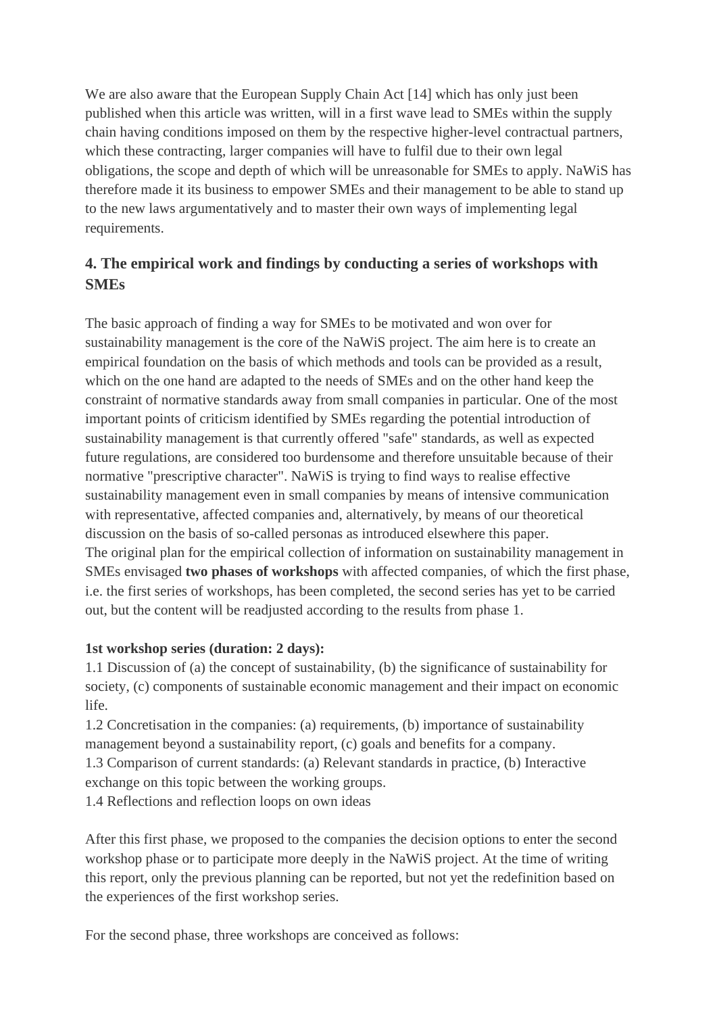We are also aware that the European Supply Chain Act [14] which has only just been published when this article was written, will in a first wave lead to SMEs within the supply chain having conditions imposed on them by the respective higher-level contractual partners, which these contracting, larger companies will have to fulfil due to their own legal obligations, the scope and depth of which will be unreasonable for SMEs to apply. NaWiS has therefore made it its business to empower SMEs and their management to be able to stand up to the new laws argumentatively and to master their own ways of implementing legal requirements.

# **4. The empirical work and findings by conducting a series of workshops with SMEs**

The basic approach of finding a way for SMEs to be motivated and won over for sustainability management is the core of the NaWiS project. The aim here is to create an empirical foundation on the basis of which methods and tools can be provided as a result, which on the one hand are adapted to the needs of SMEs and on the other hand keep the constraint of normative standards away from small companies in particular. One of the most important points of criticism identified by SMEs regarding the potential introduction of sustainability management is that currently offered "safe" standards, as well as expected future regulations, are considered too burdensome and therefore unsuitable because of their normative "prescriptive character". NaWiS is trying to find ways to realise effective sustainability management even in small companies by means of intensive communication with representative, affected companies and, alternatively, by means of our theoretical discussion on the basis of so-called personas as introduced elsewhere this paper. The original plan for the empirical collection of information on sustainability management in SMEs envisaged **two phases of workshops** with affected companies, of which the first phase, i.e. the first series of workshops, has been completed, the second series has yet to be carried out, but the content will be readjusted according to the results from phase 1.

## **1st workshop series (duration: 2 days):**

1.1 Discussion of (a) the concept of sustainability, (b) the significance of sustainability for society, (c) components of sustainable economic management and their impact on economic life.

1.2 Concretisation in the companies: (a) requirements, (b) importance of sustainability management beyond a sustainability report, (c) goals and benefits for a company. 1.3 Comparison of current standards: (a) Relevant standards in practice, (b) Interactive exchange on this topic between the working groups.

1.4 Reflections and reflection loops on own ideas

After this first phase, we proposed to the companies the decision options to enter the second workshop phase or to participate more deeply in the NaWiS project. At the time of writing this report, only the previous planning can be reported, but not yet the redefinition based on the experiences of the first workshop series.

For the second phase, three workshops are conceived as follows: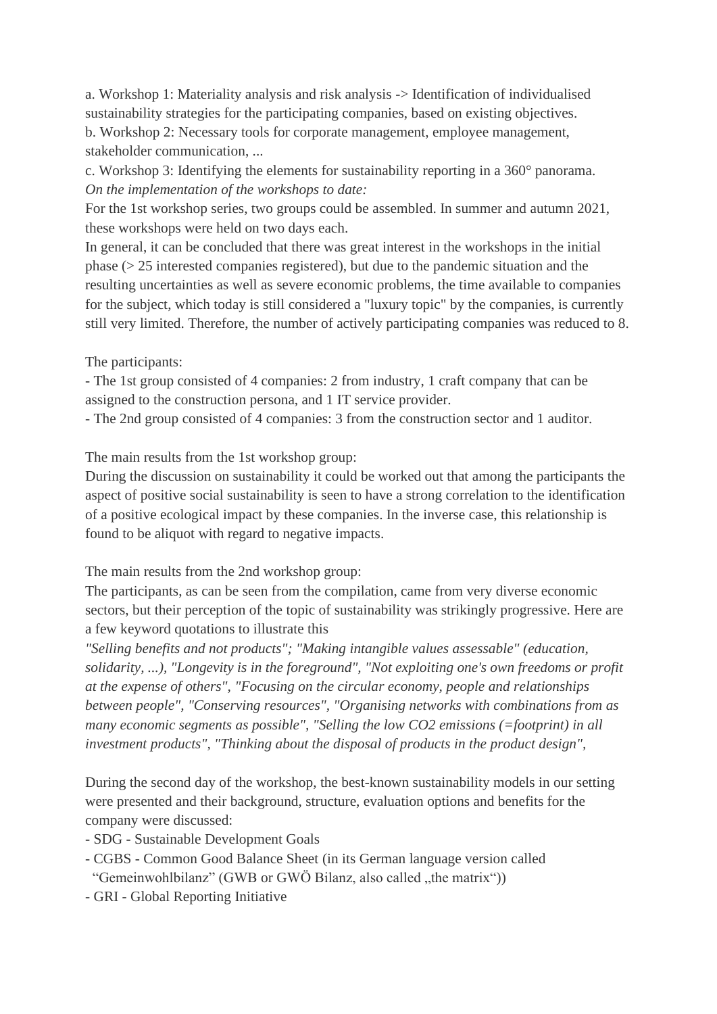a. Workshop 1: Materiality analysis and risk analysis -> Identification of individualised sustainability strategies for the participating companies, based on existing objectives. b. Workshop 2: Necessary tools for corporate management, employee management, stakeholder communication, ...

c. Workshop 3: Identifying the elements for sustainability reporting in a 360° panorama. *On the implementation of the workshops to date:*

For the 1st workshop series, two groups could be assembled. In summer and autumn 2021, these workshops were held on two days each.

In general, it can be concluded that there was great interest in the workshops in the initial phase (> 25 interested companies registered), but due to the pandemic situation and the resulting uncertainties as well as severe economic problems, the time available to companies for the subject, which today is still considered a "luxury topic" by the companies, is currently still very limited. Therefore, the number of actively participating companies was reduced to 8.

The participants:

- The 1st group consisted of 4 companies: 2 from industry, 1 craft company that can be assigned to the construction persona, and 1 IT service provider.

- The 2nd group consisted of 4 companies: 3 from the construction sector and 1 auditor.

The main results from the 1st workshop group:

During the discussion on sustainability it could be worked out that among the participants the aspect of positive social sustainability is seen to have a strong correlation to the identification of a positive ecological impact by these companies. In the inverse case, this relationship is found to be aliquot with regard to negative impacts.

The main results from the 2nd workshop group:

The participants, as can be seen from the compilation, came from very diverse economic sectors, but their perception of the topic of sustainability was strikingly progressive. Here are a few keyword quotations to illustrate this

*"Selling benefits and not products"; "Making intangible values assessable" (education, solidarity, ...), "Longevity is in the foreground", "Not exploiting one's own freedoms or profit at the expense of others", "Focusing on the circular economy, people and relationships between people", "Conserving resources", "Organising networks with combinations from as many economic segments as possible", "Selling the low CO2 emissions (=footprint) in all investment products", "Thinking about the disposal of products in the product design",*

During the second day of the workshop, the best-known sustainability models in our setting were presented and their background, structure, evaluation options and benefits for the company were discussed:

- SDG Sustainable Development Goals
- CGBS Common Good Balance Sheet (in its German language version called "Gemeinwohlbilanz" (GWB or GWÖ Bilanz, also called ..the matrix"))
- GRI Global Reporting Initiative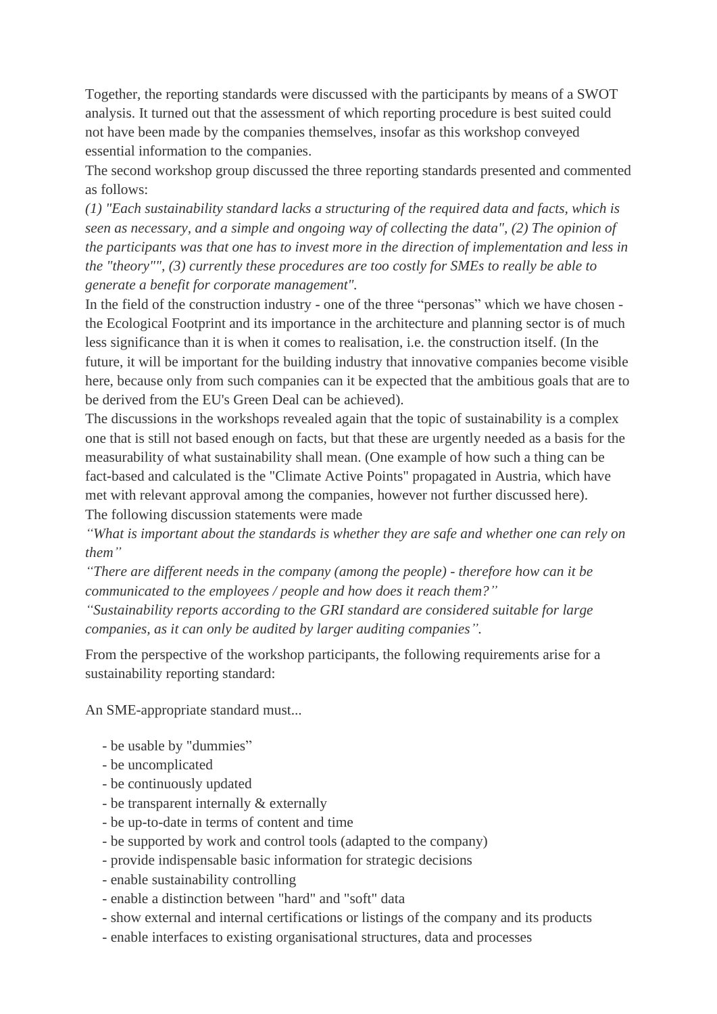Together, the reporting standards were discussed with the participants by means of a SWOT analysis. It turned out that the assessment of which reporting procedure is best suited could not have been made by the companies themselves, insofar as this workshop conveyed essential information to the companies.

The second workshop group discussed the three reporting standards presented and commented as follows:

*(1) "Each sustainability standard lacks a structuring of the required data and facts, which is seen as necessary, and a simple and ongoing way of collecting the data", (2) The opinion of the participants was that one has to invest more in the direction of implementation and less in the "theory"", (3) currently these procedures are too costly for SMEs to really be able to generate a benefit for corporate management".*

In the field of the construction industry - one of the three "personas" which we have chosen the Ecological Footprint and its importance in the architecture and planning sector is of much less significance than it is when it comes to realisation, i.e. the construction itself. (In the future, it will be important for the building industry that innovative companies become visible here, because only from such companies can it be expected that the ambitious goals that are to be derived from the EU's Green Deal can be achieved).

The discussions in the workshops revealed again that the topic of sustainability is a complex one that is still not based enough on facts, but that these are urgently needed as a basis for the measurability of what sustainability shall mean. (One example of how such a thing can be fact-based and calculated is the "Climate Active Points" propagated in Austria, which have met with relevant approval among the companies, however not further discussed here). The following discussion statements were made

*"What is important about the standards is whether they are safe and whether one can rely on them"*

*"There are different needs in the company (among the people) - therefore how can it be communicated to the employees / people and how does it reach them?"*

*"Sustainability reports according to the GRI standard are considered suitable for large companies, as it can only be audited by larger auditing companies".*

From the perspective of the workshop participants, the following requirements arise for a sustainability reporting standard:

An SME-appropriate standard must...

- be usable by "dummies"
- be uncomplicated
- be continuously updated
- be transparent internally & externally
- be up-to-date in terms of content and time
- be supported by work and control tools (adapted to the company)
- provide indispensable basic information for strategic decisions
- enable sustainability controlling
- enable a distinction between "hard" and "soft" data
- show external and internal certifications or listings of the company and its products
- enable interfaces to existing organisational structures, data and processes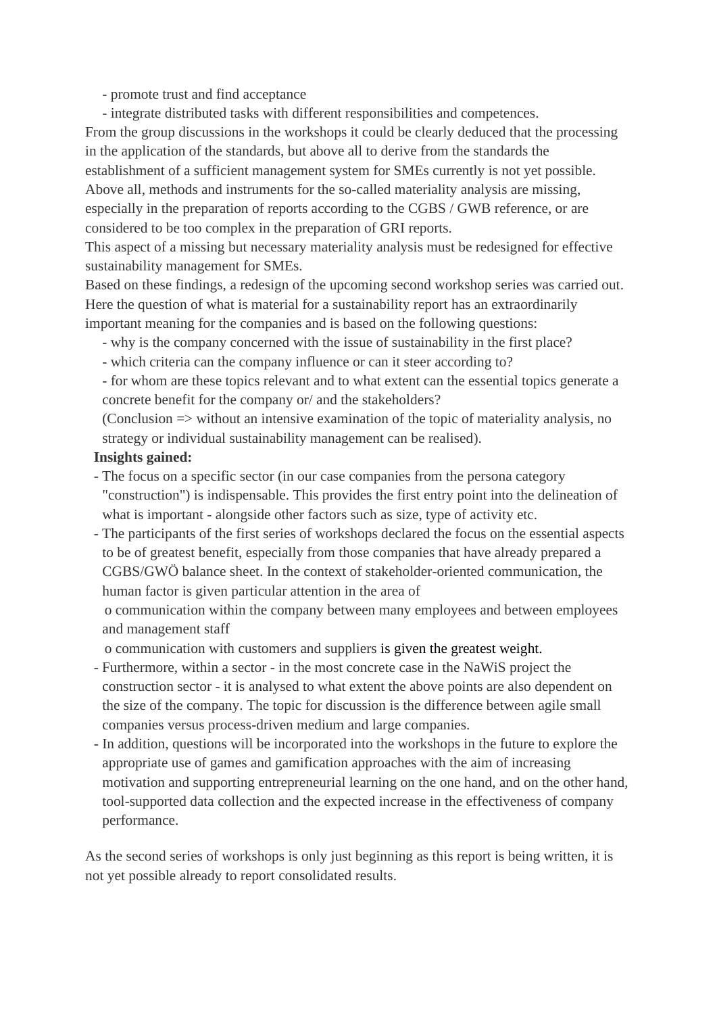- promote trust and find acceptance

- integrate distributed tasks with different responsibilities and competences.

From the group discussions in the workshops it could be clearly deduced that the processing in the application of the standards, but above all to derive from the standards the establishment of a sufficient management system for SMEs currently is not yet possible. Above all, methods and instruments for the so-called materiality analysis are missing, especially in the preparation of reports according to the CGBS / GWB reference, or are considered to be too complex in the preparation of GRI reports.

This aspect of a missing but necessary materiality analysis must be redesigned for effective sustainability management for SMEs.

Based on these findings, a redesign of the upcoming second workshop series was carried out. Here the question of what is material for a sustainability report has an extraordinarily important meaning for the companies and is based on the following questions:

- why is the company concerned with the issue of sustainability in the first place?

- which criteria can the company influence or can it steer according to?

- for whom are these topics relevant and to what extent can the essential topics generate a concrete benefit for the company or/ and the stakeholders?

(Conclusion => without an intensive examination of the topic of materiality analysis, no strategy or individual sustainability management can be realised).

#### **Insights gained:**

- The focus on a specific sector (in our case companies from the persona category "construction") is indispensable. This provides the first entry point into the delineation of what is important - alongside other factors such as size, type of activity etc.
- The participants of the first series of workshops declared the focus on the essential aspects to be of greatest benefit, especially from those companies that have already prepared a CGBS/GWÖ balance sheet. In the context of stakeholder-oriented communication, the human factor is given particular attention in the area of

 o communication within the company between many employees and between employees and management staff

o communication with customers and suppliers is given the greatest weight.

- Furthermore, within a sector in the most concrete case in the NaWiS project the construction sector - it is analysed to what extent the above points are also dependent on the size of the company. The topic for discussion is the difference between agile small companies versus process-driven medium and large companies.
- In addition, questions will be incorporated into the workshops in the future to explore the appropriate use of games and gamification approaches with the aim of increasing motivation and supporting entrepreneurial learning on the one hand, and on the other hand, tool-supported data collection and the expected increase in the effectiveness of company performance.

As the second series of workshops is only just beginning as this report is being written, it is not yet possible already to report consolidated results.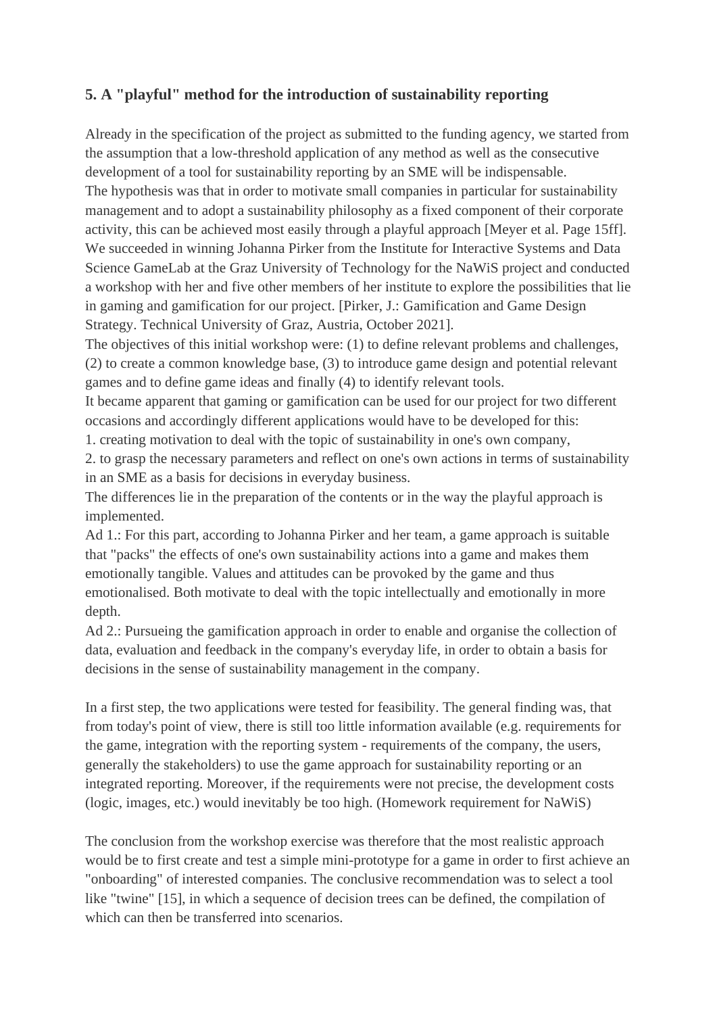# **5. A "playful" method for the introduction of sustainability reporting**

Already in the specification of the project as submitted to the funding agency, we started from the assumption that a low-threshold application of any method as well as the consecutive development of a tool for sustainability reporting by an SME will be indispensable. The hypothesis was that in order to motivate small companies in particular for sustainability management and to adopt a sustainability philosophy as a fixed component of their corporate activity, this can be achieved most easily through a playful approach [Meyer et al. Page 15ff]. We succeeded in winning Johanna Pirker from the Institute for Interactive Systems and Data Science GameLab at the Graz University of Technology for the NaWiS project and conducted a workshop with her and five other members of her institute to explore the possibilities that lie in gaming and gamification for our project. [Pirker, J.: Gamification and Game Design Strategy. Technical University of Graz, Austria, October 2021].

The objectives of this initial workshop were: (1) to define relevant problems and challenges, (2) to create a common knowledge base, (3) to introduce game design and potential relevant games and to define game ideas and finally (4) to identify relevant tools.

It became apparent that gaming or gamification can be used for our project for two different occasions and accordingly different applications would have to be developed for this:

1. creating motivation to deal with the topic of sustainability in one's own company,

2. to grasp the necessary parameters and reflect on one's own actions in terms of sustainability in an SME as a basis for decisions in everyday business.

The differences lie in the preparation of the contents or in the way the playful approach is implemented.

Ad 1.: For this part, according to Johanna Pirker and her team, a game approach is suitable that "packs" the effects of one's own sustainability actions into a game and makes them emotionally tangible. Values and attitudes can be provoked by the game and thus emotionalised. Both motivate to deal with the topic intellectually and emotionally in more depth.

Ad 2.: Pursueing the gamification approach in order to enable and organise the collection of data, evaluation and feedback in the company's everyday life, in order to obtain a basis for decisions in the sense of sustainability management in the company.

In a first step, the two applications were tested for feasibility. The general finding was, that from today's point of view, there is still too little information available (e.g. requirements for the game, integration with the reporting system - requirements of the company, the users, generally the stakeholders) to use the game approach for sustainability reporting or an integrated reporting. Moreover, if the requirements were not precise, the development costs (logic, images, etc.) would inevitably be too high. (Homework requirement for NaWiS)

The conclusion from the workshop exercise was therefore that the most realistic approach would be to first create and test a simple mini-prototype for a game in order to first achieve an "onboarding" of interested companies. The conclusive recommendation was to select a tool like "twine" [15], in which a sequence of decision trees can be defined, the compilation of which can then be transferred into scenarios.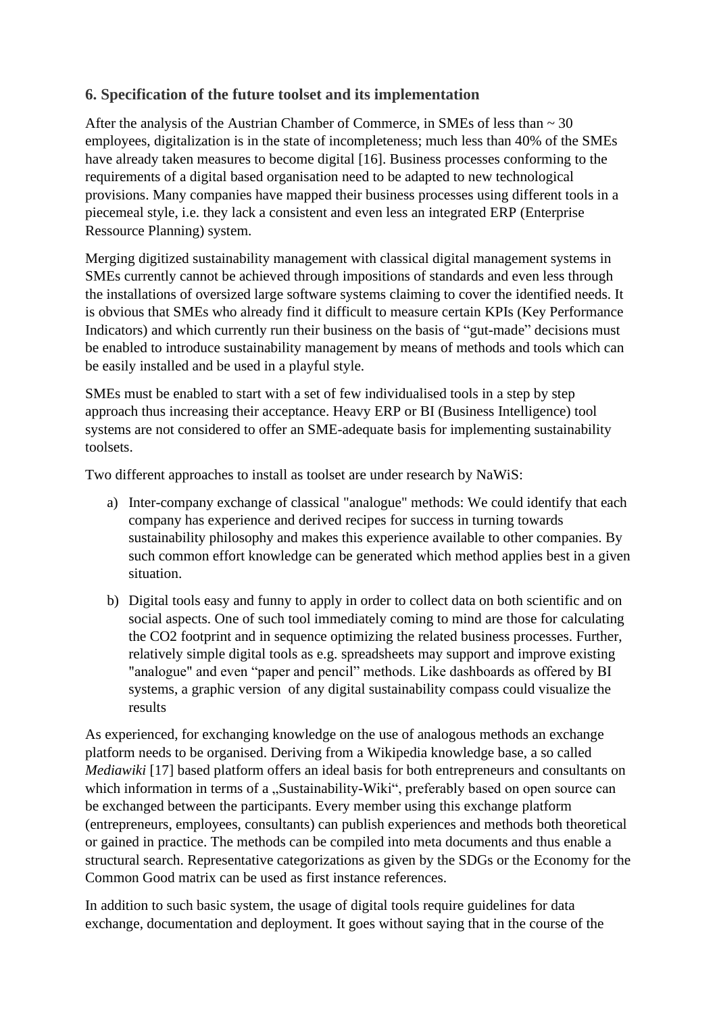## **6. Specification of the future toolset and its implementation**

After the analysis of the Austrian Chamber of Commerce, in SMEs of less than  $\sim$  30 employees, digitalization is in the state of incompleteness; much less than 40% of the SMEs have already taken measures to become digital [16]. Business processes conforming to the requirements of a digital based organisation need to be adapted to new technological provisions. Many companies have mapped their business processes using different tools in a piecemeal style, i.e. they lack a consistent and even less an integrated ERP (Enterprise Ressource Planning) system.

Merging digitized sustainability management with classical digital management systems in SMEs currently cannot be achieved through impositions of standards and even less through the installations of oversized large software systems claiming to cover the identified needs. It is obvious that SMEs who already find it difficult to measure certain KPIs (Key Performance Indicators) and which currently run their business on the basis of "gut-made" decisions must be enabled to introduce sustainability management by means of methods and tools which can be easily installed and be used in a playful style.

SMEs must be enabled to start with a set of few individualised tools in a step by step approach thus increasing their acceptance. Heavy ERP or BI (Business Intelligence) tool systems are not considered to offer an SME-adequate basis for implementing sustainability toolsets.

Two different approaches to install as toolset are under research by NaWiS:

- a) Inter-company exchange of classical "analogue" methods: We could identify that each company has experience and derived recipes for success in turning towards sustainability philosophy and makes this experience available to other companies. By such common effort knowledge can be generated which method applies best in a given situation.
- b) Digital tools easy and funny to apply in order to collect data on both scientific and on social aspects. One of such tool immediately coming to mind are those for calculating the CO2 footprint and in sequence optimizing the related business processes. Further, relatively simple digital tools as e.g. spreadsheets may support and improve existing "analogue" and even "paper and pencil" methods. Like dashboards as offered by BI systems, a graphic version of any digital sustainability compass could visualize the results

As experienced, for exchanging knowledge on the use of analogous methods an exchange platform needs to be organised. Deriving from a Wikipedia knowledge base, a so called *Mediawiki* [17] based platform offers an ideal basis for both entrepreneurs and consultants on which information in terms of a "Sustainability-Wiki", preferably based on open source can be exchanged between the participants. Every member using this exchange platform (entrepreneurs, employees, consultants) can publish experiences and methods both theoretical or gained in practice. The methods can be compiled into meta documents and thus enable a structural search. Representative categorizations as given by the SDGs or the Economy for the Common Good matrix can be used as first instance references.

In addition to such basic system, the usage of digital tools require guidelines for data exchange, documentation and deployment. It goes without saying that in the course of the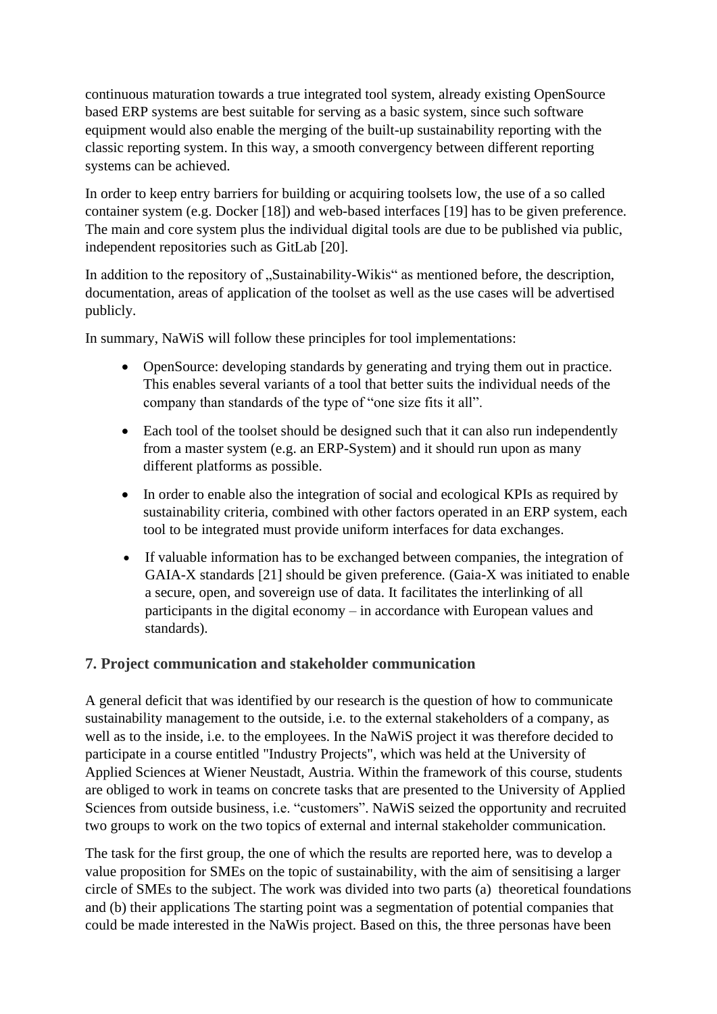continuous maturation towards a true integrated tool system, already existing OpenSource based ERP systems are best suitable for serving as a basic system, since such software equipment would also enable the merging of the built-up sustainability reporting with the classic reporting system. In this way, a smooth convergency between different reporting systems can be achieved.

In order to keep entry barriers for building or acquiring toolsets low, the use of a so called container system (e.g. Docker [18]) and web-based interfaces [19] has to be given preference. The main and core system plus the individual digital tools are due to be published via public, independent repositories such as GitLab [20].

In addition to the repository of "Sustainability-Wikis" as mentioned before, the description, documentation, areas of application of the toolset as well as the use cases will be advertised publicly.

In summary, NaWiS will follow these principles for tool implementations:

- OpenSource: developing standards by generating and trying them out in practice. This enables several variants of a tool that better suits the individual needs of the company than standards of the type of "one size fits it all".
- Each tool of the toolset should be designed such that it can also run independently from a master system (e.g. an ERP-System) and it should run upon as many different platforms as possible.
- In order to enable also the integration of social and ecological KPIs as required by sustainability criteria, combined with other factors operated in an ERP system, each tool to be integrated must provide uniform interfaces for data exchanges.
- If valuable information has to be exchanged between companies, the integration of GAIA-X standards [21] should be given preference*.* (Gaia-X was initiated to enable a secure, open, and sovereign use of data. It facilitates the interlinking of all participants in the digital economy – in accordance with European values and standards).

## **7. Project communication and stakeholder communication**

A general deficit that was identified by our research is the question of how to communicate sustainability management to the outside, i.e. to the external stakeholders of a company, as well as to the inside, i.e. to the employees. In the NaWiS project it was therefore decided to participate in a course entitled "Industry Projects", which was held at the University of Applied Sciences at Wiener Neustadt, Austria. Within the framework of this course, students are obliged to work in teams on concrete tasks that are presented to the University of Applied Sciences from outside business, i.e. "customers". NaWiS seized the opportunity and recruited two groups to work on the two topics of external and internal stakeholder communication.

The task for the first group, the one of which the results are reported here, was to develop a value proposition for SMEs on the topic of sustainability, with the aim of sensitising a larger circle of SMEs to the subject. The work was divided into two parts (a) theoretical foundations and (b) their applications The starting point was a segmentation of potential companies that could be made interested in the NaWis project. Based on this, the three personas have been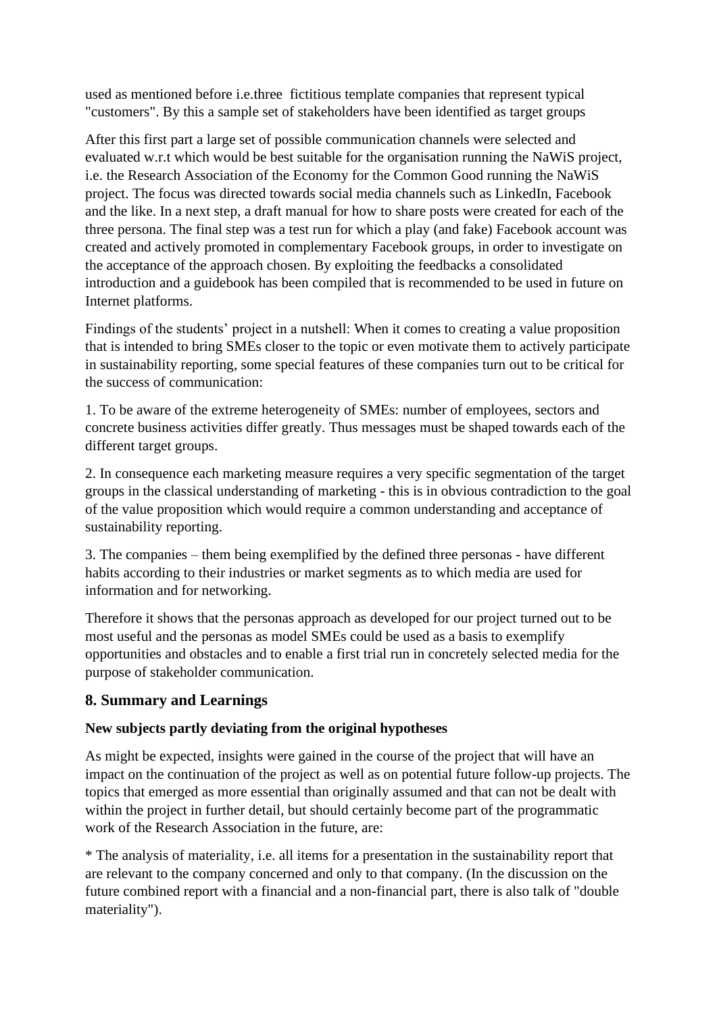used as mentioned before i.e.three fictitious template companies that represent typical "customers". By this a sample set of stakeholders have been identified as target groups

After this first part a large set of possible communication channels were selected and evaluated w.r.t which would be best suitable for the organisation running the NaWiS project, i.e. the Research Association of the Economy for the Common Good running the NaWiS project. The focus was directed towards social media channels such as LinkedIn, Facebook and the like. In a next step, a draft manual for how to share posts were created for each of the three persona. The final step was a test run for which a play (and fake) Facebook account was created and actively promoted in complementary Facebook groups, in order to investigate on the acceptance of the approach chosen. By exploiting the feedbacks a consolidated introduction and a guidebook has been compiled that is recommended to be used in future on Internet platforms.

Findings of the students' project in a nutshell: When it comes to creating a value proposition that is intended to bring SMEs closer to the topic or even motivate them to actively participate in sustainability reporting, some special features of these companies turn out to be critical for the success of communication:

1. To be aware of the extreme heterogeneity of SMEs: number of employees, sectors and concrete business activities differ greatly. Thus messages must be shaped towards each of the different target groups.

2. In consequence each marketing measure requires a very specific segmentation of the target groups in the classical understanding of marketing - this is in obvious contradiction to the goal of the value proposition which would require a common understanding and acceptance of sustainability reporting.

3. The companies – them being exemplified by the defined three personas - have different habits according to their industries or market segments as to which media are used for information and for networking.

Therefore it shows that the personas approach as developed for our project turned out to be most useful and the personas as model SMEs could be used as a basis to exemplify opportunities and obstacles and to enable a first trial run in concretely selected media for the purpose of stakeholder communication.

## **8. Summary and Learnings**

### **New subjects partly deviating from the original hypotheses**

As might be expected, insights were gained in the course of the project that will have an impact on the continuation of the project as well as on potential future follow-up projects. The topics that emerged as more essential than originally assumed and that can not be dealt with within the project in further detail, but should certainly become part of the programmatic work of the Research Association in the future, are:

\* The analysis of materiality, i.e. all items for a presentation in the sustainability report that are relevant to the company concerned and only to that company. (In the discussion on the future combined report with a financial and a non-financial part, there is also talk of "double materiality").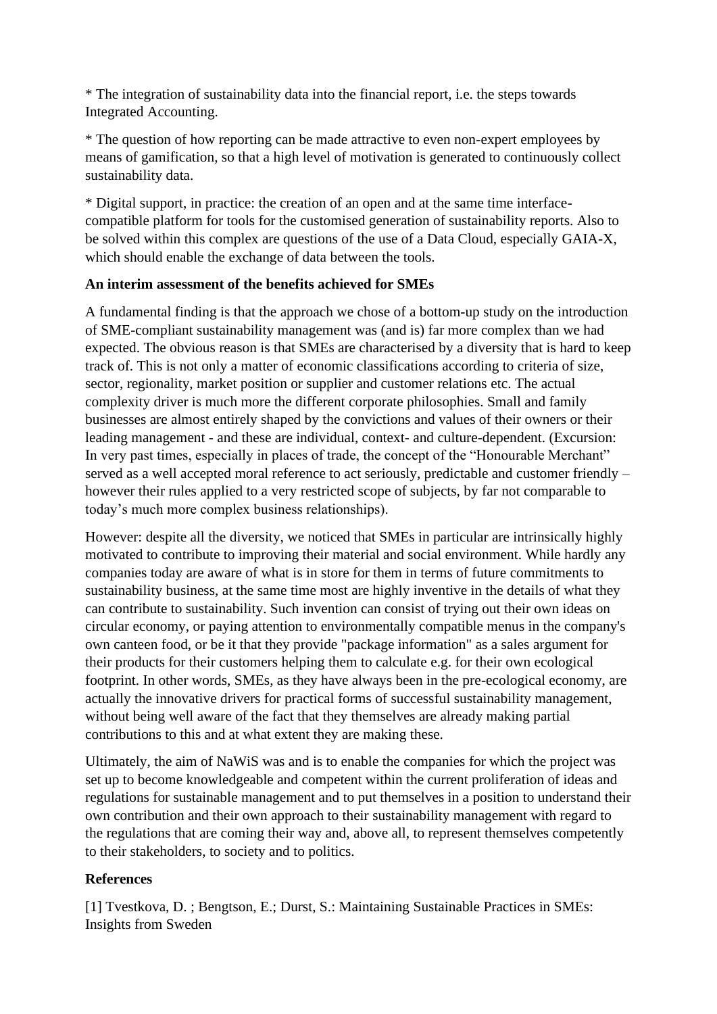\* The integration of sustainability data into the financial report, i.e. the steps towards Integrated Accounting.

\* The question of how reporting can be made attractive to even non-expert employees by means of gamification, so that a high level of motivation is generated to continuously collect sustainability data.

\* Digital support, in practice: the creation of an open and at the same time interfacecompatible platform for tools for the customised generation of sustainability reports. Also to be solved within this complex are questions of the use of a Data Cloud, especially GAIA-X, which should enable the exchange of data between the tools.

### **An interim assessment of the benefits achieved for SMEs**

A fundamental finding is that the approach we chose of a bottom-up study on the introduction of SME-compliant sustainability management was (and is) far more complex than we had expected. The obvious reason is that SMEs are characterised by a diversity that is hard to keep track of. This is not only a matter of economic classifications according to criteria of size, sector, regionality, market position or supplier and customer relations etc. The actual complexity driver is much more the different corporate philosophies. Small and family businesses are almost entirely shaped by the convictions and values of their owners or their leading management - and these are individual, context- and culture-dependent. (Excursion: In very past times, especially in places of trade, the concept of the "Honourable Merchant" served as a well accepted moral reference to act seriously, predictable and customer friendly – however their rules applied to a very restricted scope of subjects, by far not comparable to today's much more complex business relationships).

However: despite all the diversity, we noticed that SMEs in particular are intrinsically highly motivated to contribute to improving their material and social environment. While hardly any companies today are aware of what is in store for them in terms of future commitments to sustainability business, at the same time most are highly inventive in the details of what they can contribute to sustainability. Such invention can consist of trying out their own ideas on circular economy, or paying attention to environmentally compatible menus in the company's own canteen food, or be it that they provide "package information" as a sales argument for their products for their customers helping them to calculate e.g. for their own ecological footprint. In other words, SMEs, as they have always been in the pre-ecological economy, are actually the innovative drivers for practical forms of successful sustainability management, without being well aware of the fact that they themselves are already making partial contributions to this and at what extent they are making these.

Ultimately, the aim of NaWiS was and is to enable the companies for which the project was set up to become knowledgeable and competent within the current proliferation of ideas and regulations for sustainable management and to put themselves in a position to understand their own contribution and their own approach to their sustainability management with regard to the regulations that are coming their way and, above all, to represent themselves competently to their stakeholders, to society and to politics.

### **References**

[1] Tvestkova, D. ; Bengtson, E.; Durst, S.: Maintaining Sustainable Practices in SMEs: Insights from Sweden